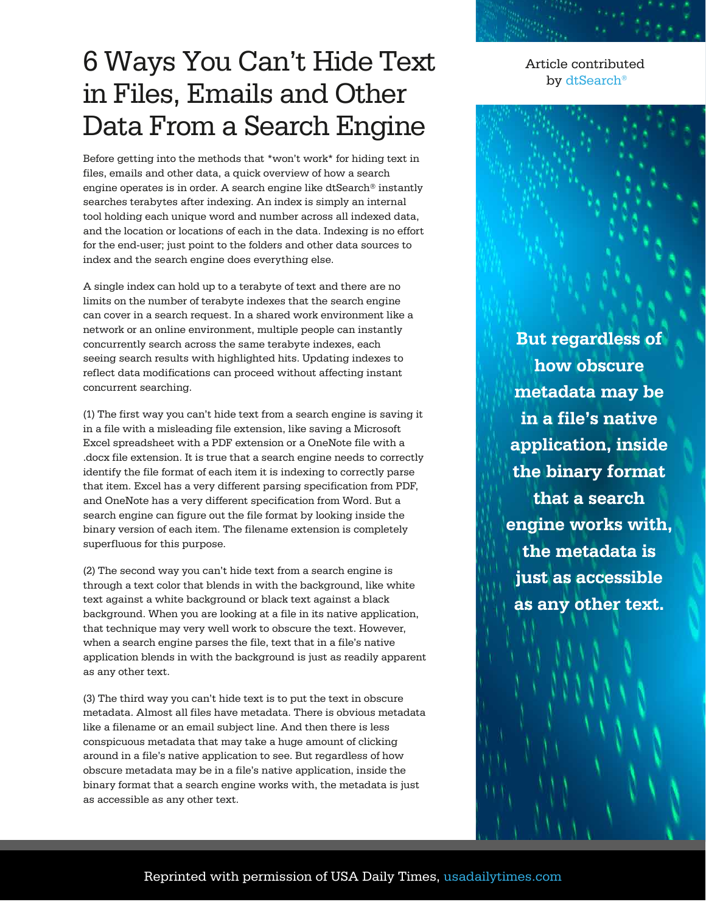## 6 Ways You Can't Hide Text in Files, Emails and Other Data From a Search Engine

Before getting into the methods that \*won't work\* for hiding text in files, emails and other data, a quick overview of how a search engine operates is in order. A search engine like dtSearch® instantly searches terabytes after indexing. An index is simply an internal tool holding each unique word and number across all indexed data, and the location or locations of each in the data. Indexing is no effort for the end-user; just point to the folders and other data sources to index and the search engine does everything else.

A single index can hold up to a terabyte of text and there are no limits on the number of terabyte indexes that the search engine can cover in a search request. In a shared work environment like a network or an online environment, multiple people can instantly concurrently search across the same terabyte indexes, each seeing search results with highlighted hits. Updating indexes to reflect data modifications can proceed without affecting instant concurrent searching.

(1) The first way you can't hide text from a search engine is saving it in a file with a misleading file extension, like saving a Microsoft Excel spreadsheet with a PDF extension or a OneNote file with a .docx file extension. It is true that a search engine needs to correctly identify the file format of each item it is indexing to correctly parse that item. Excel has a very different parsing specification from PDF, and OneNote has a very different specification from Word. But a search engine can figure out the file format by looking inside the binary version of each item. The filename extension is completely superfluous for this purpose.

(2) The second way you can't hide text from a search engine is through a text color that blends in with the background, like white text against a white background or black text against a black background. When you are looking at a file in its native application, that technique may very well work to obscure the text. However, when a search engine parses the file, text that in a file's native application blends in with the background is just as readily apparent as any other text.

(3) The third way you can't hide text is to put the text in obscure metadata. Almost all files have metadata. There is obvious metadata like a filename or an email subject line. And then there is less conspicuous metadata that may take a huge amount of clicking around in a file's native application to see. But regardless of how obscure metadata may be in a file's native application, inside the binary format that a search engine works with, the metadata is just as accessible as any other text.

Article contributed by [dtSearch®](https://www.dtsearch.com/)

**But regardless of how obscure metadata may be in a file's native application, inside the binary format that a search engine works with, the metadata is just as accessible as any other text.**